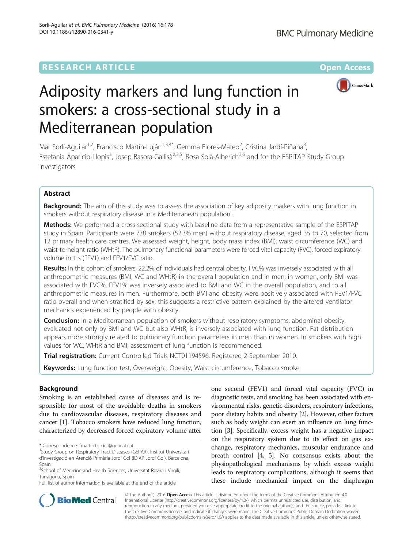

# Adiposity markers and lung function in smokers: a cross-sectional study in a Mediterranean population

Mar Sorlí-Aguilar<sup>1,2</sup>, Francisco Martín-Luján<sup>1,3,4\*</sup>, Gemma Flores-Mateo<sup>2</sup>, Cristina Jardí-Piñana<sup>3</sup> , Estefania Aparicio-Llopis<sup>3</sup>, Josep Basora-Gallisà<sup>2,3,5</sup>, Rosa Solà-Alberich<sup>3,6</sup> and for the ESPITAP Study Group investigators

# Abstract

**Background:** The aim of this study was to assess the association of key adiposity markers with lung function in smokers without respiratory disease in a Mediterranean population.

Methods: We performed a cross-sectional study with baseline data from a representative sample of the ESPITAP study in Spain. Participants were 738 smokers (52.3% men) without respiratory disease, aged 35 to 70, selected from 12 primary health care centres. We assessed weight, height, body mass index (BMI), waist circumference (WC) and waist-to-height ratio (WHtR). The pulmonary functional parameters were forced vital capacity (FVC), forced expiratory volume in 1 s (FEV1) and FEV1/FVC ratio.

Results: In this cohort of smokers, 22.2% of individuals had central obesity. FVC% was inversely associated with all anthropometric measures (BMI, WC and WHtR) in the overall population and in men; in women, only BMI was associated with FVC%. FEV1% was inversely associated to BMI and WC in the overall population, and to all anthropometric measures in men. Furthermore, both BMI and obesity were positively associated with FEV1/FVC ratio overall and when stratified by sex; this suggests a restrictive pattern explained by the altered ventilator mechanics experienced by people with obesity.

**Conclusion:** In a Mediterranean population of smokers without respiratory symptoms, abdominal obesity, evaluated not only by BMI and WC but also WHtR, is inversely associated with lung function. Fat distribution appears more strongly related to pulmonary function parameters in men than in women. In smokers with high values for WC, WHtR and BMI, assessment of lung function is recommended.

Trial registration: Current Controlled Trials [NCT01194596](https://clinicaltrials.gov/ct2/show/NCT01194596). Registered 2 September 2010.

Keywords: Lung function test, Overweight, Obesity, Waist circumference, Tobacco smoke

# Background

Smoking is an established cause of diseases and is responsible for most of the avoidable deaths in smokers due to cardiovascular diseases, respiratory diseases and cancer [\[1](#page-6-0)]. Tobacco smokers have reduced lung function, characterized by decreased forced expiratory volume after

one second (FEV1) and forced vital capacity (FVC) in diagnostic tests, and smoking has been associated with environmental risks, genetic disorders, respiratory infections, poor dietary habits and obesity [[2](#page-6-0)]. However, other factors such as body weight can exert an influence on lung function [\[3](#page-6-0)]. Specifically, excess weight has a negative impact on the respiratory system due to its effect on gas exchange, respiratory mechanics, muscular endurance and breath control [\[4](#page-6-0), [5](#page-6-0)]. No consensus exists about the physiopathological mechanisms by which excess weight leads to respiratory complications, although it seems that these include mechanical impact on the diaphragm



© The Author(s). 2016 Open Access This article is distributed under the terms of the Creative Commons Attribution 4.0 International License [\(http://creativecommons.org/licenses/by/4.0/](http://creativecommons.org/licenses/by/4.0/)), which permits unrestricted use, distribution, and reproduction in any medium, provided you give appropriate credit to the original author(s) and the source, provide a link to the Creative Commons license, and indicate if changes were made. The Creative Commons Public Domain Dedication waiver [\(http://creativecommons.org/publicdomain/zero/1.0/](http://creativecommons.org/publicdomain/zero/1.0/)) applies to the data made available in this article, unless otherwise stated.

<sup>\*</sup> Correspondence: [fmartin.tgn.ics@gencat.cat](mailto:fmartin.tgn.ics@gencat.cat) <sup>1</sup>

<sup>&</sup>lt;sup>1</sup> Study Group on Respiratory Tract Diseases (GEPAR), Institut Universitari d'Investigació en Atenció Primària Jordi Gol (IDIAP Jordi Gol), Barcelona, Spain

<sup>&</sup>lt;sup>3</sup>School of Medicine and Health Sciences, Universitat Rovira i Virgili, Tarragona, Spain

Full list of author information is available at the end of the article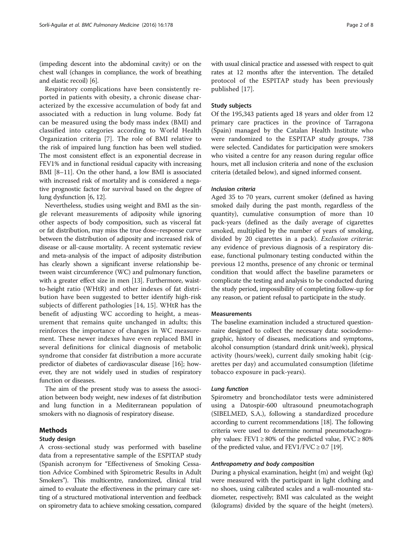(impeding descent into the abdominal cavity) or on the chest wall (changes in compliance, the work of breathing and elastic recoil) [\[6](#page-6-0)].

Respiratory complications have been consistently reported in patients with obesity, a chronic disease characterized by the excessive accumulation of body fat and associated with a reduction in lung volume. Body fat can be measured using the body mass index (BMI) and classified into categories according to World Health Organization criteria [[7\]](#page-6-0). The role of BMI relative to the risk of impaired lung function has been well studied. The most consistent effect is an exponential decrease in FEV1% and in functional residual capacity with increasing BMI [\[8](#page-6-0)–[11\]](#page-7-0). On the other hand, a low BMI is associated with increased risk of mortality and is considered a negative prognostic factor for survival based on the degree of lung dysfunction [\[6](#page-6-0), [12](#page-7-0)].

Nevertheless, studies using weight and BMI as the single relevant measurements of adiposity while ignoring other aspects of body composition, such as visceral fat or fat distribution, may miss the true dose–response curve between the distribution of adiposity and increased risk of disease or all-cause mortality. A recent systematic review and meta-analysis of the impact of adiposity distribution has clearly shown a significant inverse relationship between waist circumference (WC) and pulmonary function, with a greater effect size in men [\[13\]](#page-7-0). Furthermore, waistto-height ratio (WHtR) and other indexes of fat distribution have been suggested to better identify high-risk subjects of different pathologies [[14, 15\]](#page-7-0). WHtR has the benefit of adjusting WC according to height, a measurement that remains quite unchanged in adults; this reinforces the importance of changes in WC measurement. These newer indexes have even replaced BMI in several definitions for clinical diagnosis of metabolic syndrome that consider fat distribution a more accurate predictor of diabetes of cardiovascular disease [\[16](#page-7-0)]; however, they are not widely used in studies of respiratory function or diseases.

The aim of the present study was to assess the association between body weight, new indexes of fat distribution and lung function in a Mediterranean population of smokers with no diagnosis of respiratory disease.

## Methods

## Study design

A cross-sectional study was performed with baseline data from a representative sample of the ESPITAP study (Spanish acronym for "Effectiveness of Smoking Cessation Advice Combined with Spirometric Results in Adult Smokers"). This multicentre, randomized, clinical trial aimed to evaluate the effectiveness in the primary care setting of a structured motivational intervention and feedback on spirometry data to achieve smoking cessation, compared

## Study subjects

Of the 195,343 patients aged 18 years and older from 12 primary care practices in the province of Tarragona (Spain) managed by the Catalan Health Institute who were randomized to the ESPITAP study groups, 738 were selected. Candidates for participation were smokers who visited a centre for any reason during regular office hours, met all inclusion criteria and none of the exclusion criteria (detailed below), and signed informed consent.

## Inclusion criteria

Aged 35 to 70 years, current smoker (defined as having smoked daily during the past month, regardless of the quantity), cumulative consumption of more than 10 pack-years (defined as the daily average of cigarettes smoked, multiplied by the number of years of smoking, divided by 20 cigarettes in a pack). Exclusion criteria: any evidence of previous diagnosis of a respiratory disease, functional pulmonary testing conducted within the previous 12 months, presence of any chronic or terminal condition that would affect the baseline parameters or complicate the testing and analysis to be conducted during the study period, impossibility of completing follow-up for any reason, or patient refusal to participate in the study.

# Measurements

The baseline examination included a structured questionnaire designed to collect the necessary data: sociodemographic, history of diseases, medications and symptoms, alcohol consumption (standard drink unit/week), physical activity (hours/week), current daily smoking habit (cigarettes per day) and accumulated consumption (lifetime tobacco exposure in pack-years).

## Lung function

Spirometry and bronchodilator tests were administered using a Datospir-600 ultrasound pneumotachograph (SIBELMED, S.A.), following a standardized procedure according to current recommendations [\[18](#page-7-0)]. The following criteria were used to determine normal pneumotachography values: FEV1  $\geq$  80% of the predicted value, FVC  $\geq$  80% of the predicted value, and  $FEV1/FVC \geq 0.7$  [\[19\]](#page-7-0).

## Anthropometry and body composition

During a physical examination, height (m) and weight (kg) were measured with the participant in light clothing and no shoes, using calibrated scales and a wall-mounted stadiometer, respectively; BMI was calculated as the weight (kilograms) divided by the square of the height (meters).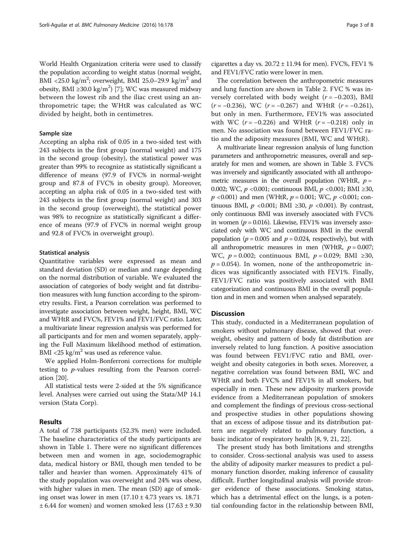World Health Organization criteria were used to classify the population according to weight status (normal weight, BMI <25.0 kg/m<sup>2</sup>; overweight, BMI 25.0–29.9 kg/m<sup>2</sup> and obesity, BMI ≥30.0 kg/m<sup>2</sup>) [\[7](#page-6-0)]; WC was measured midway between the lowest rib and the iliac crest using an anthropometric tape; the WHtR was calculated as WC divided by height, both in centimetres.

## Sample size

Accepting an alpha risk of 0.05 in a two-sided test with 243 subjects in the first group (normal weight) and 175 in the second group (obesity), the statistical power was greater than 99% to recognize as statistically significant a difference of means (97.9 of FVC% in normal-weight group and 87.8 of FVC% in obesity group). Moreover, accepting an alpha risk of 0.05 in a two-sided test with 243 subjects in the first group (normal weight) and 303 in the second group (overweight), the statistical power was 98% to recognize as statistically significant a difference of means (97.9 of FVC% in normal weight group and 92.8 of FVC% in overweight group).

## Statistical analysis

Quantitative variables were expressed as mean and standard deviation (SD) or median and range depending on the normal distribution of variable. We evaluated the association of categories of body weight and fat distribution measures with lung function according to the spirometry results. First, a Pearson correlation was performed to investigate association between weight, height, BMI, WC and WHtR and FVC%, FEV1% and FEV1/FVC ratio. Later, a multivariate linear regression analysis was performed for all participants and for men and women separately, applying the Full Maximum likelihood method of estimation. BMI <25 kg/ $m^2$  was used as reference value.

We applied Holm-Bonferroni corrections for multiple testing to p-values resulting from the Pearson correlation [\[20](#page-7-0)].

All statistical tests were 2-sided at the 5% significance level. Analyses were carried out using the Stata/MP 14.1 version (Stata Corp).

## Results

A total of 738 participants (52.3% men) were included. The baseline characteristics of the study participants are shown in Table [1.](#page-3-0) There were no significant differences between men and women in age, sociodemographic data, medical history or BMI, though men tended to be taller and heavier than women. Approximately 41% of the study population was overweight and 24% was obese, with higher values in men. The mean (SD) age of smoking onset was lower in men  $(17.10 \pm 4.73$  years vs. 18.71  $\pm$  6.44 for women) and women smoked less (17.63  $\pm$  9.30

cigarettes a day vs.  $20.72 \pm 11.94$  for men). FVC%, FEV1 % and FEV1/FVC ratio were lower in men.

The correlation between the anthropometric measures and lung function are shown in Table [2.](#page-4-0) FVC % was inversely correlated with body weight  $(r = -0.203)$ , BMI  $(r = -0.236)$ , WC  $(r = -0.267)$  and WHtR  $(r = -0.261)$ , but only in men. Furthermore, FEV1% was associated with WC  $(r = -0.226)$  and WHtR  $(r = -0.218)$  only in men. No association was found between FEV1/FVC ratio and the adiposity measures (BMI, WC and WHtR).

A multivariate linear regression analysis of lung function parameters and anthropometric measures, overall and separately for men and women, are shown in Table [3.](#page-4-0) FVC% was inversely and significantly associated with all anthropometric measures in the overall population (WHtR,  $p =$ 0.002; WC, p <0.001; continuous BMI, p <0.001; BMI ≥30,  $p \le 0.001$ ) and men (WHtR,  $p = 0.001$ ; WC,  $p \le 0.001$ ; continuous BMI,  $p \le 0.001$ ; BMI ≥30,  $p \le 0.001$ ). By contrast, only continuous BMI was inversely associated with FVC% in women ( $p = 0.016$ ). Likewise, FEV1% was inversely associated only with WC and continuous BMI in the overall population ( $p = 0.005$  and  $p = 0.024$ , respectively), but with all anthropometric measures in men (WHtR,  $p = 0.007$ ; WC,  $p = 0.002$ ; continuous BMI,  $p = 0.029$ ; BMI ≥30,  $p = 0.054$ ). In women, none of the anthropometric indices was significantly associated with FEV1%. Finally, FEV1/FVC ratio was positively associated with BMI categorization and continuous BMI in the overall population and in men and women when analysed separately.

# Discussion

This study, conducted in a Mediterranean population of smokers without pulmonary disease, showed that overweight, obesity and pattern of body fat distribution are inversely related to lung function. A positive association was found between FEV1/FVC ratio and BMI, overweight and obesity categories in both sexes. Moreover, a negative correlation was found between BMI, WC and WHtR and both FVC% and FEV1% in all smokers, but especially in men. These new adiposity markers provide evidence from a Mediterranean population of smokers and complement the findings of previous cross-sectional and prospective studies in other populations showing that an excess of adipose tissue and its distribution pattern are negatively related to pulmonary function, a basic indicator of respiratory health [[8, 9,](#page-6-0) [21](#page-7-0), [22](#page-7-0)].

The present study has both limitations and strengths to consider. Cross-sectional analysis was used to assess the ability of adiposity marker measures to predict a pulmonary function disorder, making inference of causality difficult. Further longitudinal analysis will provide stronger evidence of these associations. Smoking status, which has a detrimental effect on the lungs, is a potential confounding factor in the relationship between BMI,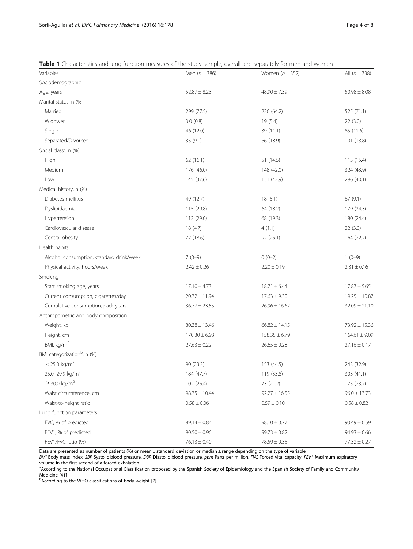<span id="page-3-0"></span>

| Variables                                | Men $(n = 386)$   | Women $(n = 352)$ | All $(n = 738)$   |
|------------------------------------------|-------------------|-------------------|-------------------|
| Sociodemographic                         |                   |                   |                   |
| Age, years                               | $52.87 \pm 8.23$  | $48.90 \pm 7.39$  | $50.98 \pm 8.08$  |
| Marital status, n (%)                    |                   |                   |                   |
| Married                                  | 299 (77.5)        | 226 (64.2)        | 525 (71.1)        |
| Widower                                  | 3.0(0.8)          | 19 (5.4)          | 22(3.0)           |
| Single                                   | 46 (12.0)         | 39 (11.1)         | 85 (11.6)         |
| Separated/Divorced                       | 35 (9.1)          | 66 (18.9)         | 101 (13.8)        |
| Social class <sup>a</sup> , n (%)        |                   |                   |                   |
| High                                     | 62(16.1)          | 51 (14.5)         | 113 (15.4)        |
| Medium                                   | 176 (46.0)        | 148 (42.0)        | 324 (43.9)        |
| Low                                      | 145 (37.6)        | 151 (42.9)        | 296 (40.1)        |
| Medical history, n (%)                   |                   |                   |                   |
| Diabetes mellitus                        | 49 (12.7)         | 18(5.1)           | 67(9.1)           |
| Dyslipidaemia                            | 115 (29.8)        | 64 (18.2)         | 179 (24.3)        |
| Hypertension                             | 112 (29.0)        | 68 (19.3)         | 180 (24.4)        |
| Cardiovascular disease                   | 18 (4.7)          | 4(1.1)            | 22(3.0)           |
| Central obesity                          | 72 (18.6)         | 92 (26.1)         | 164 (22.2)        |
| Health habits                            |                   |                   |                   |
| Alcohol consumption, standard drink/week | $7(0-9)$          | $0(0-2)$          | $1(0-9)$          |
| Physical activity, hours/week            | $2.42 \pm 0.26$   | $2.20 \pm 0.19$   | $2.31 \pm 0.16$   |
| Smoking                                  |                   |                   |                   |
| Start smoking age, years                 | $17.10 \pm 4.73$  | $18.71 \pm 6.44$  | $17.87 \pm 5.65$  |
| Current consumption, cigarettes/day      | $20.72 \pm 11.94$ | $17.63 \pm 9.30$  | $19.25 \pm 10.87$ |
| Cumulative consumption, pack-years       | $36.77 \pm 23.55$ | $26.96 \pm 16.62$ | $32.09 \pm 21.10$ |
| Anthropometric and body composition      |                   |                   |                   |
| Weight, kg                               | $80.38 \pm 13.46$ | $66.82 \pm 14.15$ | $73.92 \pm 15.36$ |
| Height, cm                               | $170.30 \pm 6.93$ | $158.35 \pm 6.79$ | $164.61 \pm 9.09$ |
| BMI, kg/m <sup>2</sup>                   | $27.63 \pm 0.22$  | $26.65 \pm 0.28$  | $27.16\pm0.17$    |
| BMI categorization <sup>b</sup> , n (%)  |                   |                   |                   |
| $< 25.0$ kg/m <sup>2</sup>               | 90(23.3)          | 153 (44.5)        | 243 (32.9)        |
| 25.0-29.9 kg/m <sup>2</sup>              | 184 (47.7)        | 119 (33.8)        | 303 (41.1)        |
| $≥$ 30.0 kg/m <sup>2</sup>               | 102 (26.4)        | 73 (21.2)         | 175 (23.7)        |
| Waist circumference, cm                  | $98.75 \pm 10.44$ | $92.27 \pm 16.55$ | $96.0 \pm 13.73$  |
| Waist-to-height ratio                    | $0.58 \pm 0.06$   | $0.59 \pm 0.10$   | $0.58 \pm 0.82$   |
| Lung function parameters                 |                   |                   |                   |
| FVC, % of predicted                      | $89.14 \pm 0.84$  | $98.10 \pm 0.77$  | $93.49 \pm 0.59$  |
| FEV1, % of predicted                     | $90.50 \pm 0.96$  | $99.73 \pm 0.82$  | $94.93 \pm 0.66$  |
| FEV1/FVC ratio (%)                       | $76.13 \pm 0.40$  | $78.59 \pm 0.35$  | $77.32 \pm 0.27$  |

Data are presented as number of patients (%) or mean ± standard deviation or median ± range depending on the type of variable

BMI Body mass index, SBP Systolic blood pressure, DBP Diastolic blood pressure, ppm Parts per million, FVC Forced vital capacity, FEV1 Maximum expiratory volume in the first second of a forced exhalation

<sup>a</sup>According to the National Occupational Classification proposed by the Spanish Society of Epidemiology and the Spanish Society of Family and Community Medicine [[41\]](#page-7-0)

<sup>b</sup>According to the WHO classifications of body weight [\[7\]](#page-6-0)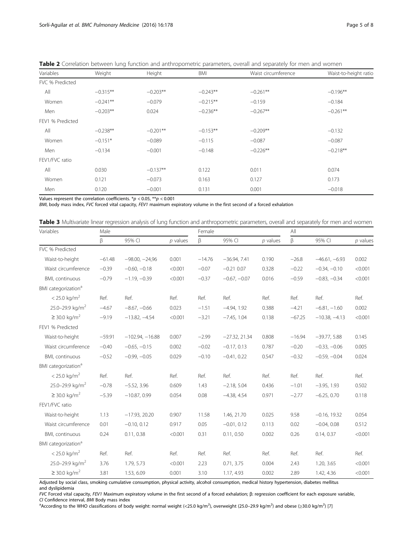| Variables        | Weight     | Height     | BMI        | Waist circumference | Waist-to-height ratio |
|------------------|------------|------------|------------|---------------------|-----------------------|
| FVC % Predicted  |            |            |            |                     |                       |
| All              | $-0.315**$ | $-0.203**$ | $-0.243**$ | $-0.261**$          | $-0.196**$            |
| Women            | $-0.241**$ | $-0.079$   | $-0.215**$ | $-0.159$            | $-0.184$              |
| Men              | $-0.203**$ | 0.024      | $-0.236**$ | $-0.267**$          | $-0.261**$            |
| FEV1 % Predicted |            |            |            |                     |                       |
| All              | $-0.238**$ | $-0.201**$ | $-0.153**$ | $-0.209**$          | $-0.132$              |
| Women            | $-0.151*$  | $-0.089$   | $-0.115$   | $-0.087$            | $-0.087$              |
| Men              | $-0.134$   | $-0.001$   | $-0.148$   | $-0.226**$          | $-0.218**$            |
| FEV1/FVC ratio   |            |            |            |                     |                       |
| All              | 0.030      | $-0.137**$ | 0.122      | 0.011               | 0.074                 |
| Women            | 0.121      | $-0.073$   | 0.163      | 0.127               | 0.173                 |
| Men              | 0.120      | $-0.001$   | 0.131      | 0.001               | $-0.018$              |

<span id="page-4-0"></span>

| Table 2 Correlation between lung function and anthropometric parameters, overall and separately for men and women |  |  |  |  |
|-------------------------------------------------------------------------------------------------------------------|--|--|--|--|
|-------------------------------------------------------------------------------------------------------------------|--|--|--|--|

Values represent the correlation coefficients.  $*p < 0.05$ ,  $**p < 0.001$ 

BMI, body mass index, FVC forced vital capacity, FEV1 maximum expiratory volume in the first second of a forced exhalation

| Table 3 Multivariate linear regression analysis of lung function and anthropometric parameters, overall and separately for men and women |  |  |  |
|------------------------------------------------------------------------------------------------------------------------------------------|--|--|--|
|                                                                                                                                          |  |  |  |

| Variables                       | Male     |                   |            | Female   |                 |            | All      |                 |            |
|---------------------------------|----------|-------------------|------------|----------|-----------------|------------|----------|-----------------|------------|
|                                 | β        | 95% CI            | $p$ values | β        | 95% CI          | $p$ values | $\beta$  | 95% CI          | $p$ values |
| FVC % Predicted                 |          |                   |            |          |                 |            |          |                 |            |
| Waist-to-height                 | $-61.48$ | $-98.00, -24.96$  | 0.001      | $-14.76$ | $-36.94, 7.41$  | 0.190      | $-26.8$  | $-46.61, -6.93$ | 0.002      |
| Waist circumference             | $-0.39$  | $-0.60, -0.18$    | < 0.001    | $-0.07$  | $-0.21$ 0.07    | 0.328      | $-0.22$  | $-0.34, -0.10$  | < 0.001    |
| BMI, continuous                 | $-0.79$  | $-1.19, -0.39$    | < 0.001    | $-0.37$  | $-0.67, -0.07$  | 0.016      | $-0.59$  | $-0.83, -0.34$  | < 0.001    |
| BMI categorization <sup>a</sup> |          |                   |            |          |                 |            |          |                 |            |
| $< 25.0 \text{ kg/m}^2$         | Ref.     | Ref.              | Ref.       | Ref.     | Ref.            | Ref.       | Ref.     | Ref.            | Ref.       |
| 25.0-29.9 kg/m <sup>2</sup>     | $-4.67$  | $-8.67, -0.66$    | 0.023      | $-1.51$  | $-4.94, 1.92$   | 0.388      | $-4.21$  | $-6.81, -1.60$  | 0.002      |
| $≥$ 30.0 kg/m <sup>2</sup>      | $-9.19$  | $-13.82, -4.54$   | < 0.001    | $-3.21$  | $-7.45, 1.04$   | 0.138      | $-67.25$ | $-10.38, -4.13$ | < 0.001    |
| FEV1 % Predicted                |          |                   |            |          |                 |            |          |                 |            |
| Waist-to-height                 | $-59.91$ | $-102.94, -16.88$ | 0.007      | $-2.99$  | $-27.32, 21.34$ | 0.808      | $-16.94$ | $-39.77, 5.88$  | 0.145      |
| Waist circumference             | $-0.40$  | $-0.65, -0.15$    | 0.002      | $-0.02$  | $-0.17, 0.13$   | 0.787      | $-0.20$  | $-0.33, -0.06$  | 0.005      |
| BMI, continuous                 | $-0.52$  | $-0.99, -0.05$    | 0.029      | $-0.10$  | $-0.41, 0.22$   | 0.547      | $-0.32$  | $-0.59, -0.04$  | 0.024      |
| BMI categorization <sup>a</sup> |          |                   |            |          |                 |            |          |                 |            |
| $< 25.0$ kg/m <sup>2</sup>      | Ref.     | Ref.              | Ref.       | Ref.     | Ref.            | Ref.       | Ref.     | Ref.            | Ref.       |
| 25.0-29.9 kg/m <sup>2</sup>     | $-0.78$  | $-5.52, 3.96$     | 0.609      | 1.43     | $-2.18, 5.04$   | 0.436      | $-1.01$  | $-3.95, 1.93$   | 0.502      |
| $≥$ 30.0 kg/m <sup>2</sup>      | $-5.39$  | $-10.87, 0.99$    | 0.054      | 0.08     | $-4.38, 4.54$   | 0.971      | $-2.77$  | $-6.25, 0.70$   | 0.118      |
| FEV1/FVC ratio                  |          |                   |            |          |                 |            |          |                 |            |
| Waist-to-height                 | 1.13     | $-17.93, 20.20$   | 0.907      | 11.58    | 1.46, 21.70     | 0.025      | 9.58     | $-0.16, 19.32$  | 0.054      |
| Waist circumference             | 0.01     | $-0.10, 0.12$     | 0.917      | 0.05     | $-0.01, 0.12$   | 0.113      | 0.02     | $-0.04, 0.08$   | 0.512      |
| BMI, continuous                 | 0.24     | 0.11, 0.38        | < 0.001    | 0.31     | 0.11, 0.50      | 0.002      | 0.26     | 0.14, 0.37      | < 0.001    |
| BMI categorization <sup>a</sup> |          |                   |            |          |                 |            |          |                 |            |
| $< 25.0$ kg/m <sup>2</sup>      | Ref.     | Ref.              | Ref.       | Ref.     | Ref.            | Ref.       | Ref.     | Ref.            | Ref.       |
| 25.0-29.9 kg/m <sup>2</sup>     | 3.76     | 1.79, 5.73        | < 0.001    | 2.23     | 0.71, 3.75      | 0.004      | 2.43     | 1.20, 3.65      | < 0.001    |
| $≥$ 30.0 kg/m <sup>2</sup>      | 3.81     | 1.53, 6.09        | 0.001      | 3.10     | 1.17, 4.93      | 0.002      | 2.89     | 1.42, 4.36      | < 0.001    |

Adjusted by social class, smoking cumulative consumption, physical activity, alcohol consumption, medical history hypertension, diabetes mellitus

and dyslipidemia

FVC Forced vital capacity, FEV1 Maximum expiratory volume in the first second of a forced exhalation; β: regression coefficient for each exposure variable, CI Confidence interval, BMI Body mass index

According to the WHO classifications of body weight: normal weight (<25.0 kg/m<sup>2</sup>), overweight (25.0–29.9 kg/m<sup>2</sup>) and obese (≥30.0 kg/m<sup>2</sup>) [\[7\]](#page-6-0)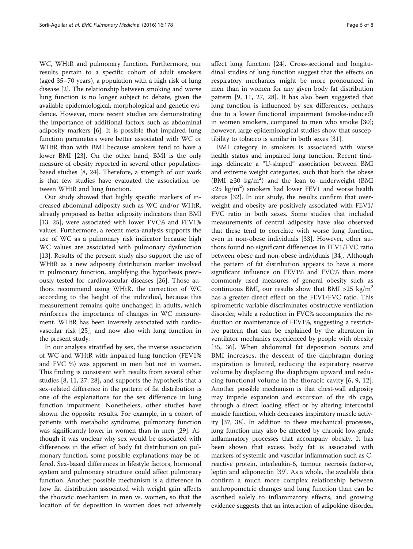WC, WHtR and pulmonary function. Furthermore, our results pertain to a specific cohort of adult smokers (aged 35–70 years), a population with a high risk of lung disease [\[2](#page-6-0)]. The relationship between smoking and worse lung function is no longer subject to debate, given the available epidemiological, morphological and genetic evidence. However, more recent studies are demonstrating the importance of additional factors such as abdominal adiposity markers [\[6](#page-6-0)]. It is possible that impaired lung function parameters were better associated with WC or WHtR than with BMI because smokers tend to have a lower BMI [[23](#page-7-0)]. On the other hand, BMI is the only measure of obesity reported in several other populationbased studies [[8,](#page-6-0) [24](#page-7-0)]. Therefore, a strength of our work is that few studies have evaluated the association between WHtR and lung function.

Our study showed that highly specific markers of increased abdominal adiposity such as WC and/or WHtR, already proposed as better adiposity indicators than BMI [[13, 25\]](#page-7-0), were associated with lower FVC% and FEV1% values. Furthermore, a recent meta-analysis supports the use of WC as a pulmonary risk indicator because high WC values are associated with pulmonary dysfunction [[13\]](#page-7-0). Results of the present study also support the use of WHtR as a new adiposity distribution marker involved in pulmonary function, amplifying the hypothesis previously tested for cardiovascular diseases [[26\]](#page-7-0). Those authors recommend using WHtR, the correction of WC according to the height of the individual, because this measurement remains quite unchanged in adults, which reinforces the importance of changes in WC measurement. WHtR has been inversely associated with cardiovascular risk [[25\]](#page-7-0), and now also with lung function in the present study.

In our analysis stratified by sex, the inverse association of WC and WHtR with impaired lung function (FEV1% and FVC %) was apparent in men but not in women. This finding is consistent with results from several other studies [\[8,](#page-6-0) [11, 27, 28\]](#page-7-0), and supports the hypothesis that a sex-related difference in the pattern of fat distribution is one of the explanations for the sex difference in lung function impairment. Nonetheless, other studies have shown the opposite results. For example, in a cohort of patients with metabolic syndrome, pulmonary function was significantly lower in women than in men [[29](#page-7-0)]. Although it was unclear why sex would be associated with differences in the effect of body fat distribution on pulmonary function, some possible explanations may be offered. Sex-based differences in lifestyle factors, hormonal system and pulmonary structure could affect pulmonary function. Another possible mechanism is a difference in how fat distribution associated with weight gain affects the thoracic mechanism in men vs. women, so that the location of fat deposition in women does not adversely affect lung function [[24\]](#page-7-0). Cross-sectional and longitudinal studies of lung function suggest that the effects on respiratory mechanics might be more pronounced in men than in women for any given body fat distribution pattern [[9,](#page-6-0) [11](#page-7-0), [27, 28\]](#page-7-0). It has also been suggested that lung function is influenced by sex differences, perhaps due to a lower functional impairment (smoke-induced) in women smokers, compared to men who smoke [\[30](#page-7-0)]; however, large epidemiological studies show that susceptibility to tobacco is similar in both sexes [\[31](#page-7-0)].

BMI category in smokers is associated with worse health status and impaired lung function. Recent findings delineate a "U-shaped" association between BMI and extreme weight categories, such that both the obese (BMI ≥30 kg/m<sup>2</sup>) and the lean to underweight (BMI  $\langle 25 \text{ kg/m}^2 \rangle$  smokers had lower FEV1 and worse health status [[32](#page-7-0)]. In our study, the results confirm that overweight and obesity are positively associated with FEV1/ FVC ratio in both sexes. Some studies that included measurements of central adiposity have also observed that these tend to correlate with worse lung function, even in non-obese individuals [[33\]](#page-7-0). However, other authors found no significant differences in FEV1/FVC ratio between obese and non-obese individuals [[34\]](#page-7-0). Although the pattern of fat distribution appears to have a more significant influence on FEV1% and FVC% than more commonly used measures of general obesity such as continuous BMI, our results show that BMI >25 kg/m<sup>2</sup> has a greater direct effect on the FEV1/FVC ratio. This spirometric variable discriminates obstructive ventilation disorder, while a reduction in FVC% accompanies the reduction or maintenance of FEV1%, suggesting a restrictive pattern that can be explained by the alteration in ventilator mechanics experienced by people with obesity [[35, 36\]](#page-7-0). When abdominal fat deposition occurs and BMI increases, the descent of the diaphragm during inspiration is limited, reducing the expiratory reserve volume by displacing the diaphragm upward and reducing functional volume in the thoracic cavity [[6](#page-6-0), [9,](#page-6-0) [12](#page-7-0)]. Another possible mechanism is that chest-wall adiposity may impede expansion and excursion of the rib cage, through a direct loading effect or by altering intercostal muscle function, which decreases inspiratory muscle activity [[37](#page-7-0), [38\]](#page-7-0). In addition to these mechanical processes, lung function may also be affected by chronic low-grade inflammatory processes that accompany obesity. It has been shown that excess body fat is associated with markers of systemic and vascular inflammation such as Creactive protein, interleukin-6, tumour necrosis factor-α, leptin and adiponectin [\[39\]](#page-7-0). As a whole, the available data confirm a much more complex relationship between anthropometric changes and lung function than can be ascribed solely to inflammatory effects, and growing evidence suggests that an interaction of adipokine disorder,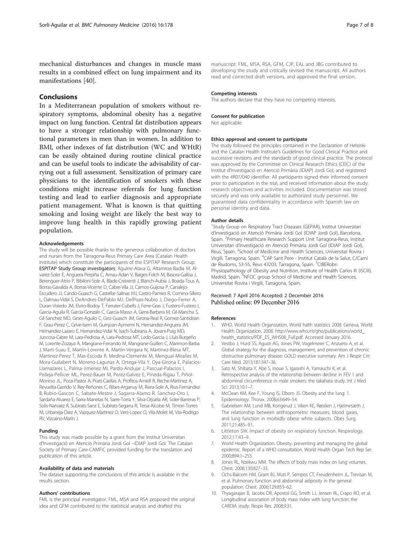<span id="page-6-0"></span>mechanical disturbances and changes in muscle mass results in a combined effect on lung impairment and its manifestations [[40\]](#page-7-0).

# Conclusions

In a Mediterranean population of smokers without respiratory symptoms, abdominal obesity has a negative impact on lung function. Central fat distribution appears to have a stronger relationship with pulmonary functional parameters in men than in women. In addition to BMI, other indexes of fat distribution (WC and WHtR) can be easily obtained during routine clinical practice and can be useful tools to indicate the advisability of carrying out a full assessment. Sensitization of primary care physicians to the identification of smokers with these conditions might increase referrals for lung function testing and lead to earlier diagnosis and appropriate patient management. What is known is that quitting smoking and losing weight are likely the best way to improve lung health in this rapidly growing patient population.

### Acknowledgements

The study will be possible thanks to the generous collaboration of doctors and nurses from the Tarragona-Reus Primary Care Area (Catalan Health Institute) which constitute the participants of the ESPITAP Research Group. ESPITAP Study Group investigators: Aguirre-Alava G, Altamiras-Badia M, Alvarez-Soler E, Anguera-Perpiña C, Arnau-Adan V, Baiges-Folch M, Basora-Gallisa J, Berenguer-Atrio P, Bibiloni-Sole A, Blade-Creixenti J, Blanch-Aubia J, Boada-Tous A, Borras-Gavalda A, Borras-Vicente D, Cabre-Vila JJ, Camos-Guijosa P, Canalejo-Escudero JJ, Cando-Guasch G, Castellar-Salinas MJ, Castro-Pamies R, Comino-Sillero L, Dalmau-Vidal S, DeAndres-DePablo MJ, DelPozo-Nubio J, Diego-Ferrer A, Duran-Visiedo JM, Elviro-Bodoy T, Ferrater-Cubells J, Ferre-Gras J, Fustero-Fustero I, Garcia-Aguila R, Garcia-Gonzalo C, Garcia-Masso A, Gens-Barbera M, Gil-Mancha S, Gil-Sanchez MD, Giner-Aguilo C, Giro-Guasch JM, Girona-Real R, Gomez-Santidrian F, Grau-Perez C, Grive-Isern M, Guinjoan-Aymemi N, Hernandez-Anguera JM, Hernandez-Lazaro E, Hernandez-Vidal N, Isach-Subirana A, Jovani-Puig MD, Juncosa-Cabre M, Lara-Pedrosa A, Lara-Pedrosa MT, Ledo-Garcia J, Lluis-Burgeño M, Lorente-Zozaya A, Mangrane-Ferrando M, Mangrane-Guillen C, Marimon-Barba J, Marti-Suau E, Martín-Lorente A, Martin-Vergara N, Martinez-Blesa MT, Martinez-Perez T, Mas-Escoda R, Medina-Clemente M, Mengual-Miralles M, Mora-Guilabert N, Moreno-Lagunas A, Ortega-Vila Y, Oya-Girona E, Palacios-Llamazares L, Palma-Jimenez MI, Pardo-Andujar J, Pascual-Palacios I, Pelleja-Pellicer ML, Perez-Bauer M, Perez-Galvez E, Pineda-Rigau T, Piñol-Moreso JL, Poca-Pastor A, Prats-Caellas A, Profitos-Amiell R, Reche-Martinez A, Revuelta-Garrido V, Rey-Reñones C, Ribes-Arganuy M, Riera-Sole A, Rius-Fernandez B, Rubio-Gascon C, Sabate-Mestre J, Sagarra-Alamo R, Sanchez-Oro I, Sardaña-Alvarez E, Sarra-Manetas N, Sarre-Torra Y, Silva-Orjuela AR, Soler-Barreras P, Solis-Narvaez R, Subirats-Sanz E, Subirats-Segarra R, Tersa-Alcobe M, Timon-Torres M, Urbaneja-Diez A, Vazquez-Martinez O, Vers-Lopez O, Vila-Molet M, Vila-Rodrigo RV, Vizcaino-Marin J.

## Funding

This study was made possible by a grant from the Institut Universitari d'Investigació en Atenció Primària Jordi Gol –IDIAP Jordi Gol. The Catalan Society of Primary Care-CAMFiC provided funding for the translation and publication of this article.

## Availability of data and materials

The dataset supporting the conclusions of this article is available in the results section.

## Authors' contributions

FML is the principal investigator. FML, MSA and RSA proposed the original idea and GFM contributed to the statistical analysis and drafted this

manuscript. FML, MSA, RSA, GFM, CJP, EAL and JBG contributed to developing the study and critically revised the manuscript. All authors read and corrected draft versions, and approved the final version.

## Competing interests

The authors declare that they have no competing interests.

### Consent for publication

Not applicable.

## Ethics approval and consent to participate

The study followed the principles contained in the Declaration of Helsinki and the Catalan Health Institute's Guidelines for Good Clinical Practice and successive revisions and the standards of good clinical practice. The protocol was approved by the Committee on Clinical Research Ethics (CEIC) of the Institut d'Investigació en Atenció Primària (IDIAP) Jordi Gol, and registered with the 4R07/040 identifier. All participants signed their informed consent prior to participation in the trial, and received information about the study: research objectives and activities included. Documentation was stored securely and was only available to authorized study personnel. We guaranteed data confidentiality in accordance with Spanish law on personal identity and data.

#### Author details

<sup>1</sup>Study Group on Respiratory Tract Diseases (GEPAR), Institut Universitari d'Investigació en Atenció Primària Jordi Gol (IDIAP Jordi Gol), Barcelona, Spain. <sup>2</sup> Primary Healthcare Research Support Unit Tarragona-Reus, Institut Universitari d'Investigació en Atenció Primària Jordi Gol (IDIAP Jordi Gol), Reus, Spain. <sup>3</sup>School of Medicine and Health Sciences, Universitat Rovira i Virgili, Tarragona, Spain. <sup>4</sup>CAP Sant Pere - Institut Català de la Salut, C/Cami de Riudoms, 53-55, Reus 43203, Tarragona, Spain. <sup>5</sup>CIBERobn Physiopathology of Obesity and Nutrition, Institute of Health Carlos III (ISCIII), Madrid, Spain. <sup>6</sup>NFOC group School of Medicine and Health Sciences, Universitat Rovira i Virgili, Tarragona, Spain.

## Received: 7 April 2016 Accepted: 2 December 2016 Published online: 09 December 2016

#### References

- 1. WHO. World Health Organization. World halth statistics 2008. Geneva, World Health Organization, 2008. http://www.who.int/gho/publications/world\_ health\_statistics/PDF\_ES\_WHS08\_Full.pdf. Accessed January 2016.
- 2. Vestbo J, Hurd SS, Agusti AG, Jones PW, Vogelmeier C, Anzueto A, et al. Global strategy for the diagnosis, management, and prevention of chronic obstructive pulmonary disease: GOLD executive summary. Am J Respir Crit Care Med. 2013;187:347–36.
- 3. Sato M, Shibata Y, Abe S, Inoue S, Igarashi A, Yamauchi K, et al. Retrospective analysis of the relationship between decline in FEV 1 and abdominal circumference in male smokers: the takahata study. Int J Med Sci. 2013;10:1–7.
- 4. McClean KM, Kee F, Young IS, Elborn JS. Obesity and the lung: 1. Epidemiology. Thorax. 2008;63:649–54.
- 5. Gabrielsen AM, Lund MB, Kongerud J, Viken KE, Røislien J, Hjelmesæth J. The relationship between anthropometric measures, blood gases, and lung function in morbidly obese white subjects. Obes Surg. 2011;21:485–91.
- 6. Littleton SW. Impact of obesity on respiratory function. Respirology. 2012;17:43–9.
- 7. World Health Organization. Obesity: preventing and managing the global epidemic. Report of a WHO consultation. World Health Organ Tech Rep Ser. 2000;894:1–253.
- 8. Jones RL, Nzekwu MM. The effects of body mass index on lung volumes. Chest. 2006;130:827–33.
- 9. Ochs-Balcom HM, Grant BJ, Muti P, Sempos CT, Freudenheim JL, Trevisan M, et al. Pulmonary function and abdominal adiposity in the general population. Chest. 2006;129:853–62.
- 10. Thyagarajan B, Jacobs DR, Apostol GG, Smith LJ, Jensen RL, Crapo RO, et al. Longitudinal association of body mass index with lung function: the CARDIA study. Respir Res. 2008;9:31.